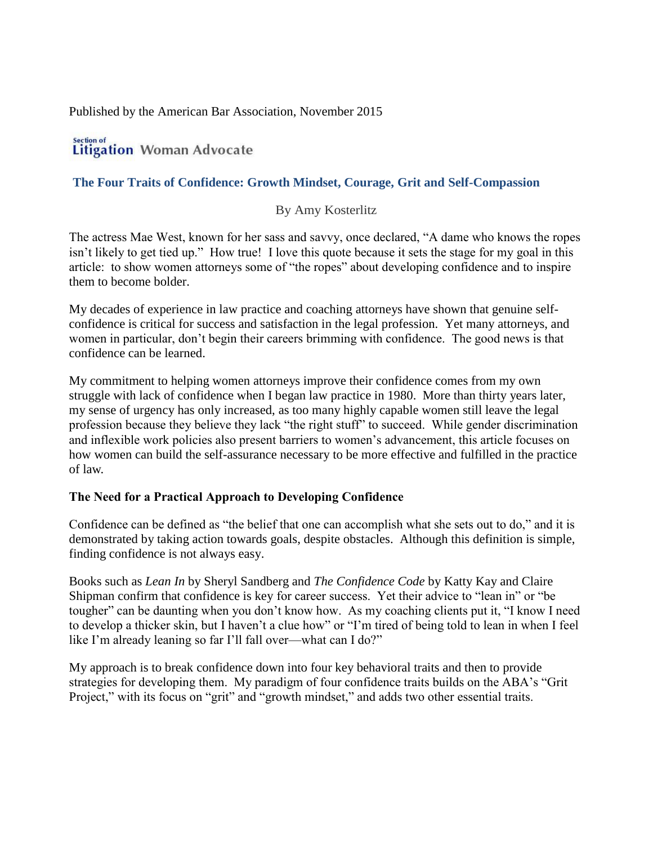Published by the American Bar Association, November 2015

#### Section of **Litigation Woman Advocate**

### **The Four Traits of Confidence: Growth Mindset, Courage, Grit and Self-Compassion**

### By Amy Kosterlitz

The actress Mae West, known for her sass and savvy, once declared, "A dame who knows the ropes isn't likely to get tied up." How true! I love this quote because it sets the stage for my goal in this article: to show women attorneys some of "the ropes" about developing confidence and to inspire them to become bolder.

My decades of experience in law practice and coaching attorneys have shown that genuine selfconfidence is critical for success and satisfaction in the legal profession. Yet many attorneys, and women in particular, don't begin their careers brimming with confidence. The good news is that confidence can be learned.

My commitment to helping women attorneys improve their confidence comes from my own struggle with lack of confidence when I began law practice in 1980. More than thirty years later, my sense of urgency has only increased, as too many highly capable women still leave the legal profession because they believe they lack "the right stuff" to succeed. While gender discrimination and inflexible work policies also present barriers to women's advancement, this article focuses on how women can build the self-assurance necessary to be more effective and fulfilled in the practice of law.

### **The Need for a Practical Approach to Developing Confidence**

Confidence can be defined as "the belief that one can accomplish what she sets out to do," and it is demonstrated by taking action towards goals, despite obstacles. Although this definition is simple, finding confidence is not always easy.

Books such as *Lean In* by Sheryl Sandberg and *The Confidence Code* by Katty Kay and Claire Shipman confirm that confidence is key for career success. Yet their advice to "lean in" or "be tougher" can be daunting when you don't know how. As my coaching clients put it, "I know I need to develop a thicker skin, but I haven't a clue how" or "I'm tired of being told to lean in when I feel like I'm already leaning so far I'll fall over—what can I do?"

My approach is to break confidence down into four key behavioral traits and then to provide strategies for developing them. My paradigm of four confidence traits builds on the ABA's "Grit Project," with its focus on "grit" and "growth mindset," and adds two other essential traits.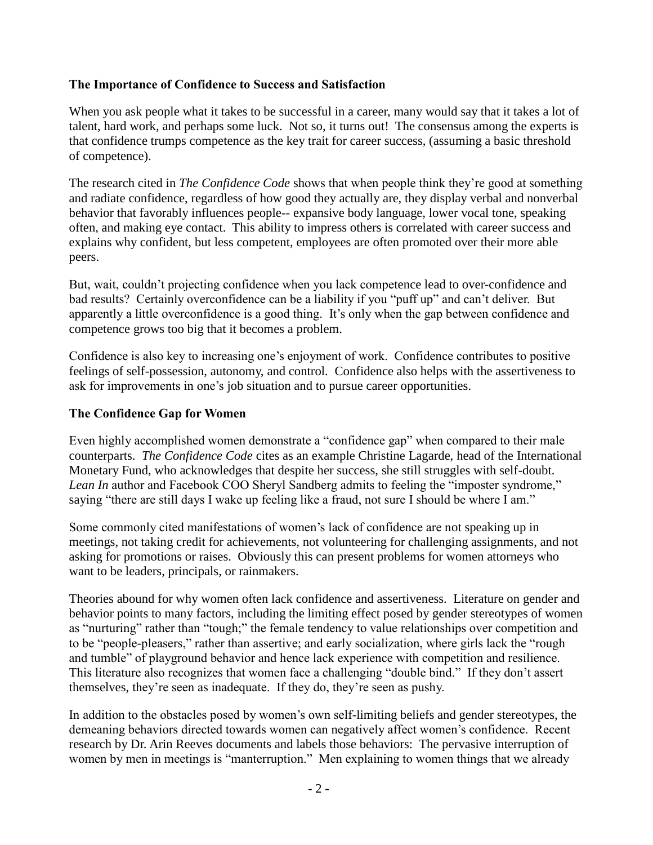### **The Importance of Confidence to Success and Satisfaction**

When you ask people what it takes to be successful in a career, many would say that it takes a lot of talent, hard work, and perhaps some luck. Not so, it turns out! The consensus among the experts is that confidence trumps competence as the key trait for career success, (assuming a basic threshold of competence).

The research cited in *The Confidence Code* shows that when people think they're good at something and radiate confidence, regardless of how good they actually are, they display verbal and nonverbal behavior that favorably influences people-- expansive body language, lower vocal tone, speaking often, and making eye contact. This ability to impress others is correlated with career success and explains why confident, but less competent, employees are often promoted over their more able peers.

But, wait, couldn't projecting confidence when you lack competence lead to over-confidence and bad results? Certainly overconfidence can be a liability if you "puff up" and can't deliver. But apparently a little overconfidence is a good thing. It's only when the gap between confidence and competence grows too big that it becomes a problem.

Confidence is also key to increasing one's enjoyment of work. Confidence contributes to positive feelings of self-possession, autonomy, and control. Confidence also helps with the assertiveness to ask for improvements in one's job situation and to pursue career opportunities.

### **The Confidence Gap for Women**

Even highly accomplished women demonstrate a "confidence gap" when compared to their male counterparts. *The Confidence Code* cites as an example Christine Lagarde, head of the International Monetary Fund, who acknowledges that despite her success, she still struggles with self-doubt. *Lean In* author and Facebook COO Sheryl Sandberg admits to feeling the "imposter syndrome," saying "there are still days I wake up feeling like a fraud, not sure I should be where I am."

Some commonly cited manifestations of women's lack of confidence are not speaking up in meetings, not taking credit for achievements, not volunteering for challenging assignments, and not asking for promotions or raises. Obviously this can present problems for women attorneys who want to be leaders, principals, or rainmakers.

Theories abound for why women often lack confidence and assertiveness. Literature on gender and behavior points to many factors, including the limiting effect posed by gender stereotypes of women as "nurturing" rather than "tough;" the female tendency to value relationships over competition and to be "people-pleasers," rather than assertive; and early socialization, where girls lack the "rough and tumble" of playground behavior and hence lack experience with competition and resilience. This literature also recognizes that women face a challenging "double bind." If they don't assert themselves, they're seen as inadequate. If they do, they're seen as pushy.

In addition to the obstacles posed by women's own self-limiting beliefs and gender stereotypes, the demeaning behaviors directed towards women can negatively affect women's confidence. Recent research by Dr. Arin Reeves documents and labels those behaviors: The pervasive interruption of women by men in meetings is "manterruption." Men explaining to women things that we already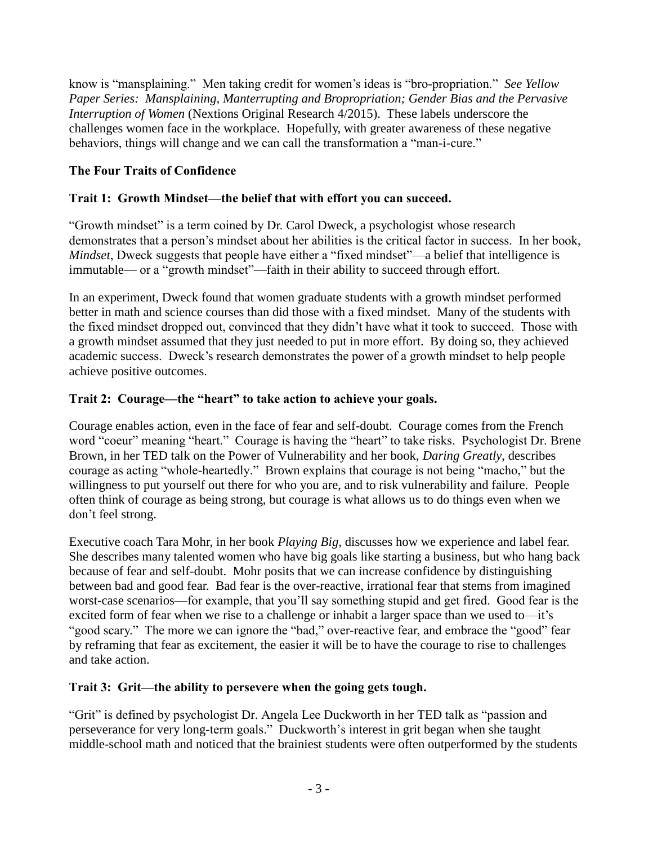know is "mansplaining." Men taking credit for women's ideas is "bro-propriation." *See Yellow Paper Series: Mansplaining, Manterrupting and Bropropriation; Gender Bias and the Pervasive Interruption of Women* (Nextions Original Research 4/2015). These labels underscore the challenges women face in the workplace. Hopefully, with greater awareness of these negative behaviors, things will change and we can call the transformation a "man-i-cure."

# **The Four Traits of Confidence**

# **Trait 1: Growth Mindset—the belief that with effort you can succeed.**

"Growth mindset" is a term coined by Dr. Carol Dweck, a psychologist whose research demonstrates that a person's mindset about her abilities is the critical factor in success. In her book, *Mindset*, Dweck suggests that people have either a "fixed mindset"—a belief that intelligence is immutable— or a "growth mindset"—faith in their ability to succeed through effort.

In an experiment, Dweck found that women graduate students with a growth mindset performed better in math and science courses than did those with a fixed mindset. Many of the students with the fixed mindset dropped out, convinced that they didn't have what it took to succeed. Those with a growth mindset assumed that they just needed to put in more effort. By doing so, they achieved academic success. Dweck's research demonstrates the power of a growth mindset to help people achieve positive outcomes.

# **Trait 2: Courage—the "heart" to take action to achieve your goals.**

Courage enables action, even in the face of fear and self-doubt. Courage comes from the French word "coeur" meaning "heart." Courage is having the "heart" to take risks. Psychologist Dr. Brene Brown, in her TED talk on the Power of Vulnerability and her book, *Daring Greatly*, describes courage as acting "whole-heartedly." Brown explains that courage is not being "macho," but the willingness to put yourself out there for who you are, and to risk vulnerability and failure. People often think of courage as being strong, but courage is what allows us to do things even when we don't feel strong.

Executive coach Tara Mohr, in her book *Playing Big,* discusses how we experience and label fear. She describes many talented women who have big goals like starting a business, but who hang back because of fear and self-doubt. Mohr posits that we can increase confidence by distinguishing between bad and good fear. Bad fear is the over-reactive, irrational fear that stems from imagined worst-case scenarios—for example, that you'll say something stupid and get fired. Good fear is the excited form of fear when we rise to a challenge or inhabit a larger space than we used to—it's "good scary." The more we can ignore the "bad," over-reactive fear, and embrace the "good" fear by reframing that fear as excitement, the easier it will be to have the courage to rise to challenges and take action.

# **Trait 3: Grit—the ability to persevere when the going gets tough.**

"Grit" is defined by psychologist Dr. Angela Lee Duckworth in her TED talk as "passion and perseverance for very long-term goals." Duckworth's interest in grit began when she taught middle-school math and noticed that the brainiest students were often outperformed by the students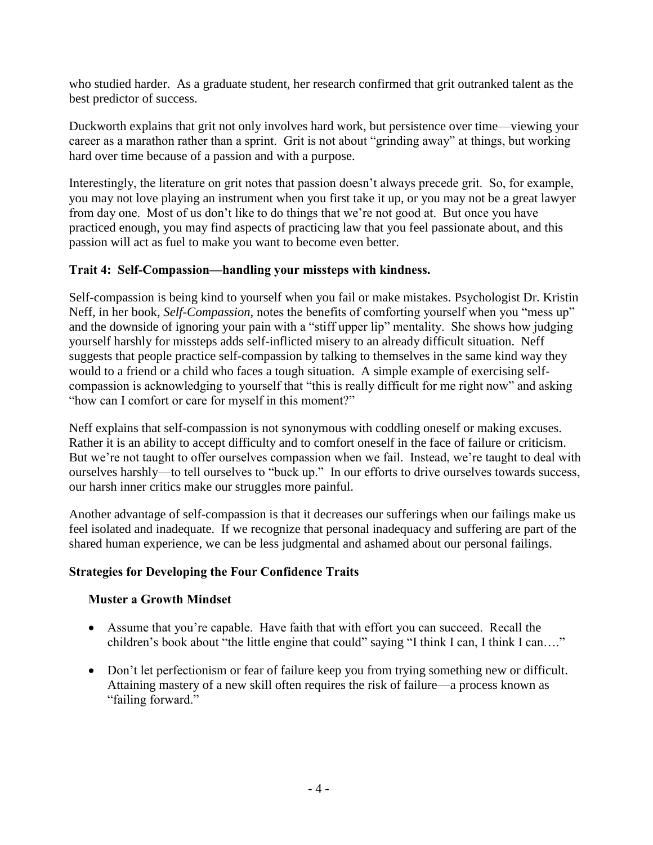who studied harder. As a graduate student, her research confirmed that grit outranked talent as the best predictor of success.

Duckworth explains that grit not only involves hard work, but persistence over time—viewing your career as a marathon rather than a sprint. Grit is not about "grinding away" at things, but working hard over time because of a passion and with a purpose.

Interestingly, the literature on grit notes that passion doesn't always precede grit. So, for example, you may not love playing an instrument when you first take it up, or you may not be a great lawyer from day one. Most of us don't like to do things that we're not good at. But once you have practiced enough, you may find aspects of practicing law that you feel passionate about, and this passion will act as fuel to make you want to become even better.

# **Trait 4: Self-Compassion—handling your missteps with kindness.**

Self-compassion is being kind to yourself when you fail or make mistakes. Psychologist Dr. Kristin Neff, in her book, *Self-Compassion,* notes the benefits of comforting yourself when you "mess up" and the downside of ignoring your pain with a "stiff upper lip" mentality. She shows how judging yourself harshly for missteps adds self-inflicted misery to an already difficult situation. Neff suggests that people practice self-compassion by talking to themselves in the same kind way they would to a friend or a child who faces a tough situation. A simple example of exercising selfcompassion is acknowledging to yourself that "this is really difficult for me right now" and asking "how can I comfort or care for myself in this moment?"

Neff explains that self-compassion is not synonymous with coddling oneself or making excuses. Rather it is an ability to accept difficulty and to comfort oneself in the face of failure or criticism. But we're not taught to offer ourselves compassion when we fail. Instead, we're taught to deal with ourselves harshly—to tell ourselves to "buck up." In our efforts to drive ourselves towards success, our harsh inner critics make our struggles more painful.

Another advantage of self-compassion is that it decreases our sufferings when our failings make us feel isolated and inadequate. If we recognize that personal inadequacy and suffering are part of the shared human experience, we can be less judgmental and ashamed about our personal failings.

# **Strategies for Developing the Four Confidence Traits**

# **Muster a Growth Mindset**

- Assume that you're capable. Have faith that with effort you can succeed. Recall the children's book about "the little engine that could" saying "I think I can, I think I can…."
- Don't let perfectionism or fear of failure keep you from trying something new or difficult. Attaining mastery of a new skill often requires the risk of failure—a process known as "failing forward."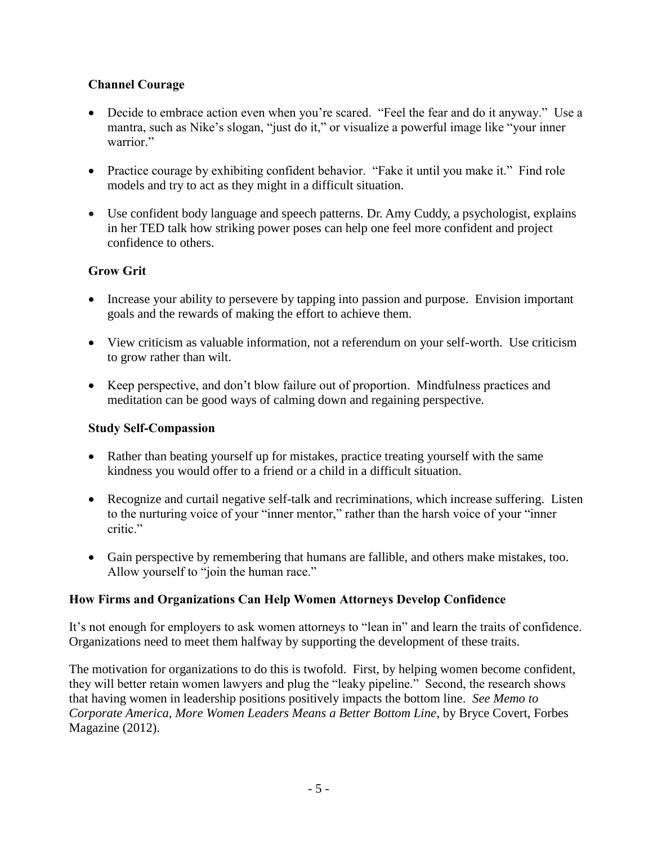# **Channel Courage**

- Decide to embrace action even when you're scared. "Feel the fear and do it anyway." Use a mantra, such as Nike's slogan, "just do it," or visualize a powerful image like "your inner warrior."
- Practice courage by exhibiting confident behavior. "Fake it until you make it." Find role models and try to act as they might in a difficult situation.
- Use confident body language and speech patterns. Dr. Amy Cuddy, a psychologist, explains in her TED talk how striking power poses can help one feel more confident and project confidence to others.

# **Grow Grit**

- Increase your ability to persevere by tapping into passion and purpose. Envision important goals and the rewards of making the effort to achieve them.
- View criticism as valuable information, not a referendum on your self-worth. Use criticism to grow rather than wilt.
- Keep perspective, and don't blow failure out of proportion. Mindfulness practices and meditation can be good ways of calming down and regaining perspective.

# **Study Self-Compassion**

- Rather than beating yourself up for mistakes, practice treating yourself with the same kindness you would offer to a friend or a child in a difficult situation.
- Recognize and curtail negative self-talk and recriminations, which increase suffering. Listen to the nurturing voice of your "inner mentor," rather than the harsh voice of your "inner critic."
- Gain perspective by remembering that humans are fallible, and others make mistakes, too. Allow yourself to "join the human race."

# **How Firms and Organizations Can Help Women Attorneys Develop Confidence**

It's not enough for employers to ask women attorneys to "lean in" and learn the traits of confidence. Organizations need to meet them halfway by supporting the development of these traits.

The motivation for organizations to do this is twofold. First, by helping women become confident, they will better retain women lawyers and plug the "leaky pipeline." Second, the research shows that having women in leadership positions positively impacts the bottom line. *See Memo to Corporate America, More Women Leaders Means a Better Bottom Line*, by Bryce Covert, Forbes Magazine (2012).